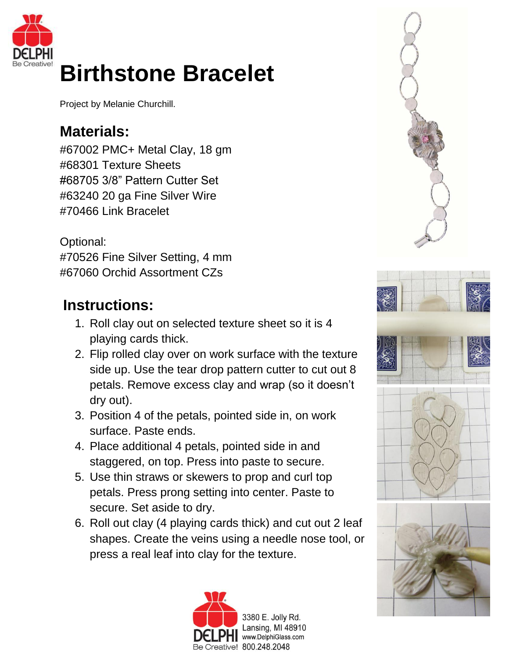

## **Birthstone Bracelet**

Project by Melanie Churchill.

## **Materials:**

#67002 PMC+ Metal Clay, 18 gm #68301 Texture Sheets #68705 3/8" Pattern Cutter Set #63240 20 ga Fine Silver Wire #70466 Link Bracelet

Optional: #70526 Fine Silver Setting, 4 mm #67060 Orchid Assortment CZs

## **Instructions:**

- 1. Roll clay out on selected texture sheet so it is 4 playing cards thick.
- 2. Flip rolled clay over on work surface with the texture side up. Use the tear drop pattern cutter to cut out 8 petals. Remove excess clay and wrap (so it doesn't dry out).
- 3. Position 4 of the petals, pointed side in, on work surface. Paste ends.
- 4. Place additional 4 petals, pointed side in and staggered, on top. Press into paste to secure.
- 5. Use thin straws or skewers to prop and curl top petals. Press prong setting into center. Paste to secure. Set aside to dry.
- 6. Roll out clay (4 playing cards thick) and cut out 2 leaf shapes. Create the veins using a needle nose tool, or press a real leaf into clay for the texture.